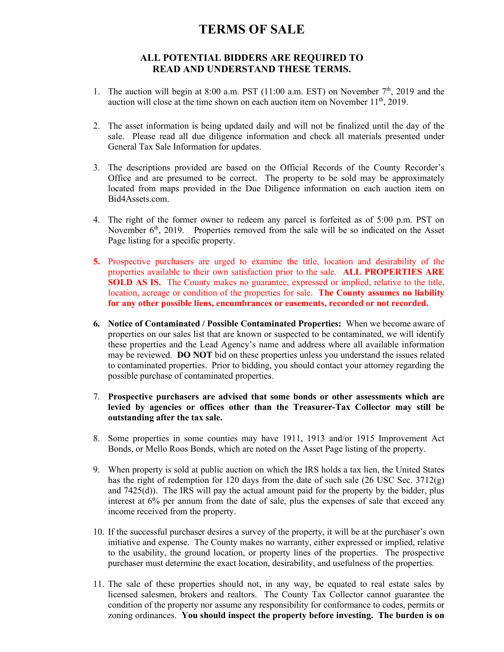## **TERMS OF SALE**

## **ALL POTENTIAL BIDDERS ARE REQUIRED TO READ AND UNDERSTAND THESE TERMS.**

- 1. The auction will begin at 8:00 a.m. PST (11:00 a.m. EST) on November  $7<sup>th</sup>$ , 2019 and the auction will close at the time shown on each auction item on November  $11<sup>th</sup>$ , 2019.
- 2. The asset information is being updated daily and will not be finalized until the day of the sale. Please read all due diligence information and check all materials presented under General Tax Sale Information for updates.
- 3. The descriptions provided are based on the Official Records of the County Recorder's Office and are presumed to be correct. The property to be sold may be approximately located from maps provided in the Due Diligence information on each auction item on Bid4Assets.com.
- 4. The right of the former owner to redeem any parcel is forfeited as of 5:00 p.m. PST on November 6<sup>th</sup>, 2019. Properties removed from the sale will be so indicated on the Asset Page listing for a specific property.
- **5.** Prospective purchasers are urged to examine the title, location and desirability of the properties available to their own satisfaction prior to the sale. **ALL PROPERTIES ARE SOLD AS IS.** The County makes no guarantee, expressed or implied, relative to the title, location, acreage or condition of the properties for sale. **The County assumes no liability for any other possible liens, encumbrances or easements, recorded or not recorded.**
- **6. Notice of Contaminated / Possible Contaminated Properties:** When we become aware of properties on our sales list that are known or suspected to be contaminated, we will identify these properties and the Lead Agency's name and address where all available information may be reviewed. **DO NOT** bid on these properties unless you understand the issues related to contaminated properties. Prior to bidding, you should contact your attorney regarding the possible purchase of contaminated properties.
- 7. **Prospective purchasers are advised that some bonds or other assessments which are levied by agencies or offices other than the Treasurer-Tax Collector may still be outstanding after the tax sale.**
- 8. Some properties in some counties may have 1911, 1913 and/or 1915 Improvement Act Bonds, or Mello Roos Bonds, which are noted on the Asset Page listing of the property.
- 9. When property is sold at public auction on which the IRS holds a tax lien, the United States has the right of redemption for 120 days from the date of such sale (26 USC Sec. 3712(g) and  $7425(d)$ ). The IRS will pay the actual amount paid for the property by the bidder, plus interest at 6% per annum from the date of sale, plus the expenses of sale that exceed any income received from the property.
- 10. If the successful purchaser desires a survey of the property, it will be at the purchaser's own initiative and expense. The County makes no warranty, either expressed or implied, relative to the usability, the ground location, or property lines of the properties. The prospective purchaser must determine the exact location, desirability, and usefulness of the properties.
- 11. The sale of these properties should not, in any way, be equated to real estate sales by licensed salesmen, brokers and realtors. The County Tax Collector cannot guarantee the condition of the property nor assume any responsibility for conformance to codes, permits or zoning ordinances. **You should inspect the property before investing. The burden is on**